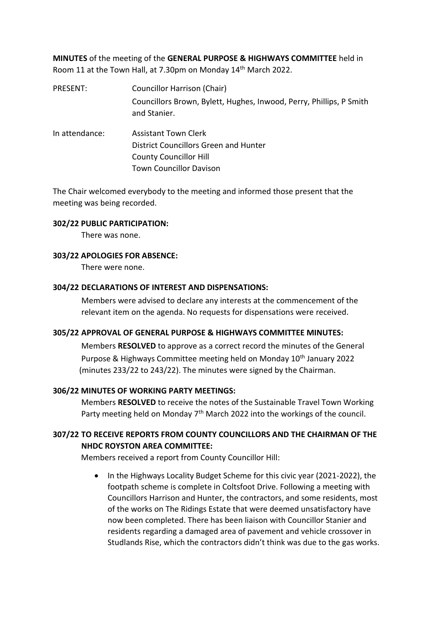**MINUTES** of the meeting of the **GENERAL PURPOSE & HIGHWAYS COMMITTEE** held in Room 11 at the Town Hall, at 7.30pm on Monday 14th March 2022.

- PRESENT: Councillor Harrison (Chair) Councillors Brown, Bylett, Hughes, Inwood, Perry, Phillips, P Smith and Stanier.
- In attendance: Assistant Town Clerk District Councillors Green and Hunter County Councillor Hill Town Councillor Davison

The Chair welcomed everybody to the meeting and informed those present that the meeting was being recorded.

### **302/22 PUBLIC PARTICIPATION:**

There was none.

### **303/22 APOLOGIES FOR ABSENCE:**

There were none.

### **304/22 DECLARATIONS OF INTEREST AND DISPENSATIONS:**

Members were advised to declare any interests at the commencement of the relevant item on the agenda. No requests for dispensations were received.

#### **305/22 APPROVAL OF GENERAL PURPOSE & HIGHWAYS COMMITTEE MINUTES:**

Members **RESOLVED** to approve as a correct record the minutes of the General Purpose & Highways Committee meeting held on Monday 10<sup>th</sup> January 2022 (minutes 233/22 to 243/22). The minutes were signed by the Chairman.

#### **306/22 MINUTES OF WORKING PARTY MEETINGS:**

Members **RESOLVED** to receive the notes of the Sustainable Travel Town Working Party meeting held on Monday  $7<sup>th</sup>$  March 2022 into the workings of the council.

# **307/22 TO RECEIVE REPORTS FROM COUNTY COUNCILLORS AND THE CHAIRMAN OF THE NHDC ROYSTON AREA COMMITTEE:**

Members received a report from County Councillor Hill:

• In the Highways Locality Budget Scheme for this civic year (2021-2022), the footpath scheme is complete in Coltsfoot Drive. Following a meeting with Councillors Harrison and Hunter, the contractors, and some residents, most of the works on The Ridings Estate that were deemed unsatisfactory have now been completed. There has been liaison with Councillor Stanier and residents regarding a damaged area of pavement and vehicle crossover in Studlands Rise, which the contractors didn't think was due to the gas works.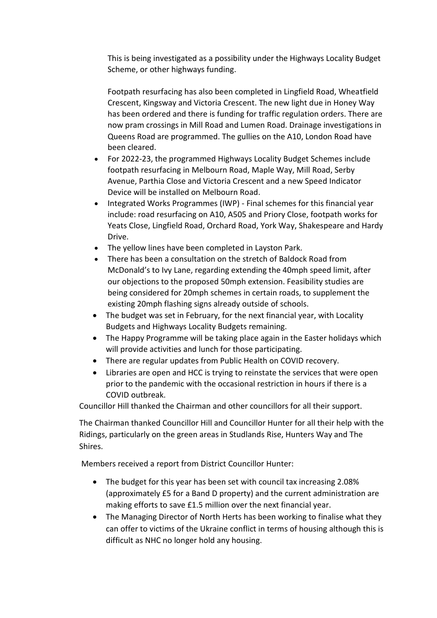This is being investigated as a possibility under the Highways Locality Budget Scheme, or other highways funding.

Footpath resurfacing has also been completed in Lingfield Road, Wheatfield Crescent, Kingsway and Victoria Crescent. The new light due in Honey Way has been ordered and there is funding for traffic regulation orders. There are now pram crossings in Mill Road and Lumen Road. Drainage investigations in Queens Road are programmed. The gullies on the A10, London Road have been cleared.

- For 2022-23, the programmed Highways Locality Budget Schemes include footpath resurfacing in Melbourn Road, Maple Way, Mill Road, Serby Avenue, Parthia Close and Victoria Crescent and a new Speed Indicator Device will be installed on Melbourn Road.
- Integrated Works Programmes (IWP) Final schemes for this financial year include: road resurfacing on A10, A505 and Priory Close, footpath works for Yeats Close, Lingfield Road, Orchard Road, York Way, Shakespeare and Hardy Drive.
- The yellow lines have been completed in Layston Park.
- There has been a consultation on the stretch of Baldock Road from McDonald's to Ivy Lane, regarding extending the 40mph speed limit, after our objections to the proposed 50mph extension. Feasibility studies are being considered for 20mph schemes in certain roads, to supplement the existing 20mph flashing signs already outside of schools.
- The budget was set in February, for the next financial year, with Locality Budgets and Highways Locality Budgets remaining.
- The Happy Programme will be taking place again in the Easter holidays which will provide activities and lunch for those participating.
- There are regular updates from Public Health on COVID recovery.
- Libraries are open and HCC is trying to reinstate the services that were open prior to the pandemic with the occasional restriction in hours if there is a COVID outbreak.

Councillor Hill thanked the Chairman and other councillors for all their support.

The Chairman thanked Councillor Hill and Councillor Hunter for all their help with the Ridings, particularly on the green areas in Studlands Rise, Hunters Way and The Shires.

Members received a report from District Councillor Hunter:

- The budget for this year has been set with council tax increasing 2.08% (approximately £5 for a Band D property) and the current administration are making efforts to save £1.5 million over the next financial year.
- The Managing Director of North Herts has been working to finalise what they can offer to victims of the Ukraine conflict in terms of housing although this is difficult as NHC no longer hold any housing.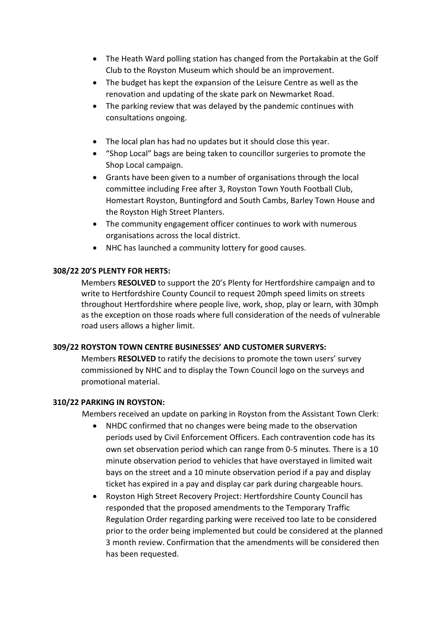- The Heath Ward polling station has changed from the Portakabin at the Golf Club to the Royston Museum which should be an improvement.
- The budget has kept the expansion of the Leisure Centre as well as the renovation and updating of the skate park on Newmarket Road.
- The parking review that was delayed by the pandemic continues with consultations ongoing.
- The local plan has had no updates but it should close this year.
- "Shop Local" bags are being taken to councillor surgeries to promote the Shop Local campaign.
- Grants have been given to a number of organisations through the local committee including Free after 3, Royston Town Youth Football Club, Homestart Royston, Buntingford and South Cambs, Barley Town House and the Royston High Street Planters.
- The community engagement officer continues to work with numerous organisations across the local district.
- NHC has launched a community lottery for good causes.

# **308/22 20'S PLENTY FOR HERTS:**

Members **RESOLVED** to support the 20's Plenty for Hertfordshire campaign and to write to Hertfordshire County Council to request 20mph speed limits on streets throughout Hertfordshire where people live, work, shop, play or learn, with 30mph as the exception on those roads where full consideration of the needs of vulnerable road users allows a higher limit.

# **309/22 ROYSTON TOWN CENTRE BUSINESSES' AND CUSTOMER SURVERYS:**

Members **RESOLVED** to ratify the decisions to promote the town users' survey commissioned by NHC and to display the Town Council logo on the surveys and promotional material.

# **310/22 PARKING IN ROYSTON:**

Members received an update on parking in Royston from the Assistant Town Clerk:

- NHDC confirmed that no changes were being made to the observation periods used by Civil Enforcement Officers. Each contravention code has its own set observation period which can range from 0-5 minutes. There is a 10 minute observation period to vehicles that have overstayed in limited wait bays on the street and a 10 minute observation period if a pay and display ticket has expired in a pay and display car park during chargeable hours.
- Royston High Street Recovery Project: Hertfordshire County Council has responded that the proposed amendments to the Temporary Traffic Regulation Order regarding parking were received too late to be considered prior to the order being implemented but could be considered at the planned 3 month review. Confirmation that the amendments will be considered then has been requested.